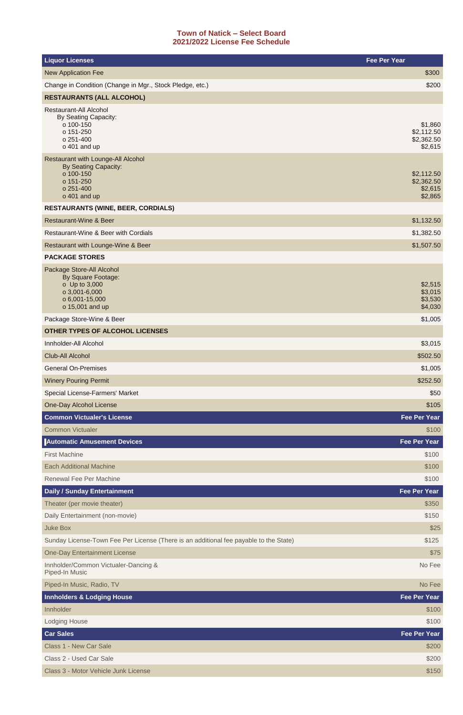## **Town of Natick – Select Board 2021/2022 License Fee Schedule**

| <b>Liquor Licenses</b>                                                                                                        | <b>Fee Per Year</b>                            |
|-------------------------------------------------------------------------------------------------------------------------------|------------------------------------------------|
| <b>New Application Fee</b>                                                                                                    | \$300                                          |
| Change in Condition (Change in Mgr., Stock Pledge, etc.)                                                                      | \$200                                          |
| <b>RESTAURANTS (ALL ALCOHOL)</b>                                                                                              |                                                |
| <b>Restaurant-All Alcohol</b><br>By Seating Capacity:<br>o 100-150<br>o 151-250<br>o 251-400<br>o 401 and up                  | \$1,860<br>\$2,112.50<br>\$2,362.50<br>\$2,615 |
| Restaurant with Lounge-All Alcohol<br><b>By Seating Capacity:</b><br>o 100-150<br>o 151-250<br>o 251-400<br>o 401 and up      | \$2,112.50<br>\$2,362.50<br>\$2,615<br>\$2,865 |
| <b>RESTAURANTS (WINE, BEER, CORDIALS)</b>                                                                                     |                                                |
| <b>Restaurant-Wine &amp; Beer</b>                                                                                             | \$1,132.50                                     |
| <b>Restaurant-Wine &amp; Beer with Cordials</b>                                                                               | \$1,382.50                                     |
| Restaurant with Lounge-Wine & Beer                                                                                            | \$1,507.50                                     |
| <b>PACKAGE STORES</b>                                                                                                         |                                                |
| Package Store-All Alcohol<br><b>By Square Footage:</b><br>o Up to 3,000<br>o 3,001-6,000<br>o 6,001-15,000<br>o 15,001 and up | \$2,515<br>\$3,015<br>\$3,530<br>\$4,030       |
| Package Store-Wine & Beer                                                                                                     | \$1,005                                        |
| <b>OTHER TYPES OF ALCOHOL LICENSES</b>                                                                                        |                                                |
| Innholder-All Alcohol                                                                                                         | \$3,015                                        |
| <b>Club-All Alcohol</b>                                                                                                       | \$502.50                                       |
| <b>General On-Premises</b>                                                                                                    | \$1,005                                        |
| <b>Winery Pouring Permit</b>                                                                                                  | \$252.50                                       |
| Special License-Farmers' Market                                                                                               | \$50                                           |
| <b>One-Day Alcohol License</b>                                                                                                | \$105                                          |
| <b>Common Victualer's License</b>                                                                                             | <b>Fee Per Year</b>                            |
| <b>Common Victualer</b>                                                                                                       | \$100                                          |
| <b>Automatic Amusement Devices</b>                                                                                            | <b>Fee Per Year</b>                            |
| <b>First Machine</b>                                                                                                          | \$100                                          |
| <b>Each Additional Machine</b>                                                                                                | \$100                                          |
| <b>Renewal Fee Per Machine</b>                                                                                                | \$100                                          |
| <b>Daily / Sunday Entertainment</b>                                                                                           | <b>Fee Per Year</b>                            |
| Theater (per movie theater)                                                                                                   | \$350                                          |
| Daily Entertainment (non-movie)                                                                                               | \$150                                          |
| <b>Juke Box</b>                                                                                                               | \$25                                           |
| Sunday License-Town Fee Per License (There is an additional fee payable to the State)                                         | \$125                                          |
| <b>One-Day Entertainment License</b>                                                                                          | \$75                                           |
| Innholder/Common Victualer-Dancing &<br>Piped-In Music                                                                        | No Fee                                         |
| Piped-In Music, Radio, TV                                                                                                     | No Fee                                         |
| <b>Innholders &amp; Lodging House</b>                                                                                         | Fee Per Year                                   |
| Innholder                                                                                                                     | \$100                                          |
| <b>Lodging House</b>                                                                                                          | \$100                                          |
| <b>Car Sales</b>                                                                                                              | <b>Fee Per Year</b>                            |
| <b>Class 1 - New Car Sale</b>                                                                                                 | \$200                                          |
| Class 2 - Used Car Sale                                                                                                       | \$200                                          |
| Class 3 - Motor Vehicle Junk License                                                                                          | \$150                                          |